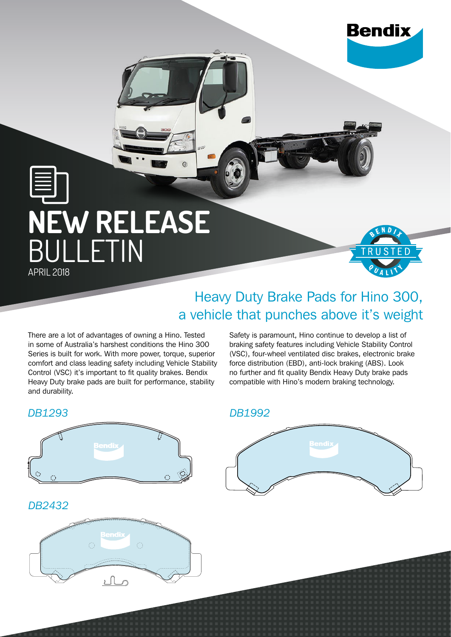

END

# **NEW RELEASE** BULLETIN APRIL 2018

## Heavy Duty Brake Pads for Hino 300, a vehicle that punches above it's weight

There are a lot of advantages of owning a Hino. Tested in some of Australia's harshest conditions the Hino 300 Series is built for work. With more power, torque, superior comfort and class leading safety including Vehicle Stability Control (VSC) it's important to fit quality brakes. Bendix Heavy Duty brake pads are built for performance, stability and durability.

Safety is paramount, Hino continue to develop a list of braking safety features including Vehicle Stability Control (VSC), four-wheel ventilated disc brakes, electronic brake force distribution (EBD), anti-lock braking (ABS). Look no further and fit quality Bendix Heavy Duty brake pads compatible with Hino's modern braking technology.

#### *DB1293*



#### *DB1992*



#### *DB2432* **DB2432**